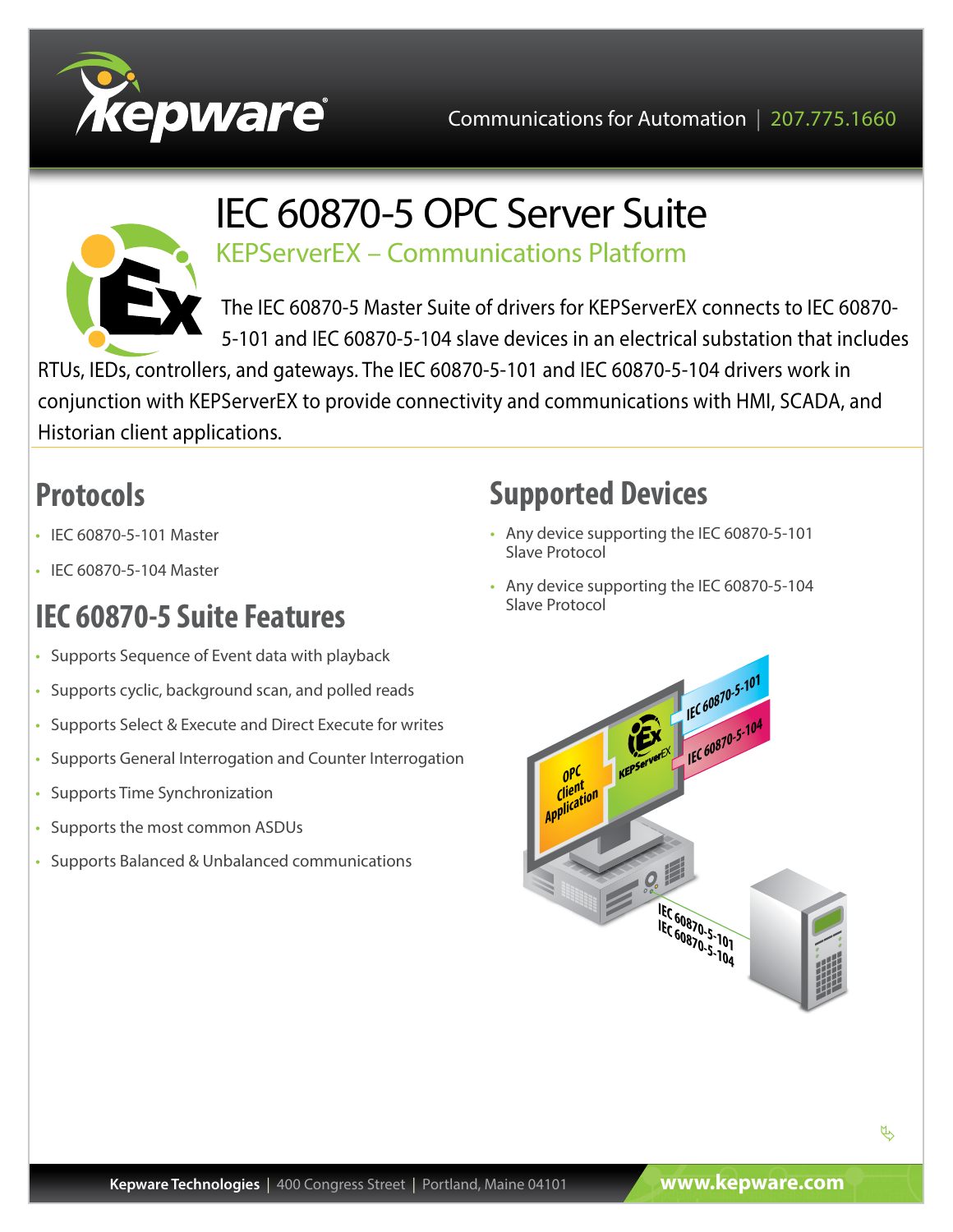



### IEC 60870-5 OPC Server Suite KEPServerEX – Communications Platform

The IEC 60870-5 Master Suite of drivers for KEPServerEX connects to IEC 60870- 5-101 and IEC 60870-5-104 slave devices in an electrical substation that includes

RTUs, IEDs, controllers, and gateways. The IEC 60870-5-101 and IEC 60870-5-104 drivers work in conjunction with KEPServerEX to provide connectivity and communications with HMI, SCADA, and Historian client applications.

# **Protocols**

- IEC 60870-5-101 Master
- IEC 60870-5-104 Master

# **IEC 60870-5 Suite Features**

- Supports Sequence of Event data with playback
- Supports cyclic, background scan, and polled reads
- Supports Select & Execute and Direct Execute for writes
- Supports General Interrogation and Counter Interrogation
- Supports Time Synchronization
- Supports the most common ASDUs
- Supports Balanced & Unbalanced communications

## **Supported Devices**

- Any device supporting the IEC 60870-5-101 Slave Protocol
- Any device supporting the IEC 60870-5-104 Slave Protocol